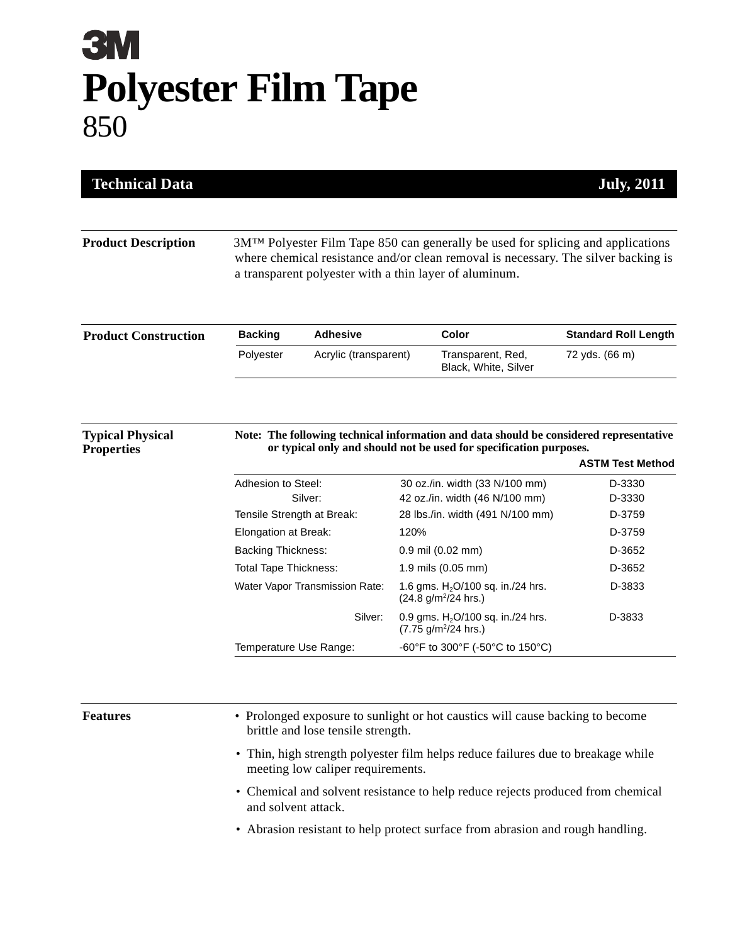## **3M Polyester Film Tape** 850

| <b>Technical Data</b>       |                                                    |                                                                                                                                                                                                                                              |                                                                                        | <b>July, 2011</b>           |  |
|-----------------------------|----------------------------------------------------|----------------------------------------------------------------------------------------------------------------------------------------------------------------------------------------------------------------------------------------------|----------------------------------------------------------------------------------------|-----------------------------|--|
| <b>Product Description</b>  |                                                    | 3M <sup>TM</sup> Polyester Film Tape 850 can generally be used for splicing and applications<br>where chemical resistance and/or clean removal is necessary. The silver backing is<br>a transparent polyester with a thin layer of aluminum. |                                                                                        |                             |  |
| <b>Product Construction</b> | <b>Backing</b>                                     | <b>Adhesive</b>                                                                                                                                                                                                                              | Color                                                                                  | <b>Standard Roll Length</b> |  |
|                             | Polyester                                          | Acrylic (transparent)                                                                                                                                                                                                                        | Transparent, Red,<br>Black, White, Silver                                              | 72 yds. (66 m)              |  |
| <b>Typical Physical</b>     |                                                    |                                                                                                                                                                                                                                              | Note: The following technical information and data should be considered representative |                             |  |
| <b>Properties</b>           |                                                    |                                                                                                                                                                                                                                              | or typical only and should not be used for specification purposes.                     | <b>ASTM Test Method</b>     |  |
|                             | Adhesion to Steel:                                 |                                                                                                                                                                                                                                              | 30 oz./in. width (33 N/100 mm)                                                         | D-3330                      |  |
|                             |                                                    | Silver:                                                                                                                                                                                                                                      | 42 oz./in. width (46 N/100 mm)                                                         | D-3330<br>D-3759            |  |
|                             | Tensile Strength at Break:<br>Elongation at Break: |                                                                                                                                                                                                                                              | 28 lbs./in. width (491 N/100 mm)<br>120%                                               | D-3759                      |  |
|                             | <b>Backing Thickness:</b>                          |                                                                                                                                                                                                                                              | $0.9$ mil $(0.02$ mm $)$                                                               | D-3652                      |  |
|                             | <b>Total Tape Thickness:</b>                       |                                                                                                                                                                                                                                              | 1.9 mils (0.05 mm)                                                                     | D-3652                      |  |
|                             |                                                    | Water Vapor Transmission Rate:                                                                                                                                                                                                               | 1.6 gms. $H_2O/100$ sq. in./24 hrs.<br>(24.8 g/m <sup>2</sup> /24 hrs.)                | D-3833                      |  |
|                             |                                                    | Silver:                                                                                                                                                                                                                                      | 0.9 gms. $H_2O/100$ sq. in./24 hrs.<br>$(7.75 \text{ g/m}^2/24 \text{ hrs.})$          | D-3833                      |  |

**Features** • Prolonged exposure to sunlight or hot caustics will cause backing to become brittle and lose tensile strength.

- Thin, high strength polyester film helps reduce failures due to breakage while meeting low caliper requirements.
- Chemical and solvent resistance to help reduce rejects produced from chemical and solvent attack.
- Abrasion resistant to help protect surface from abrasion and rough handling.